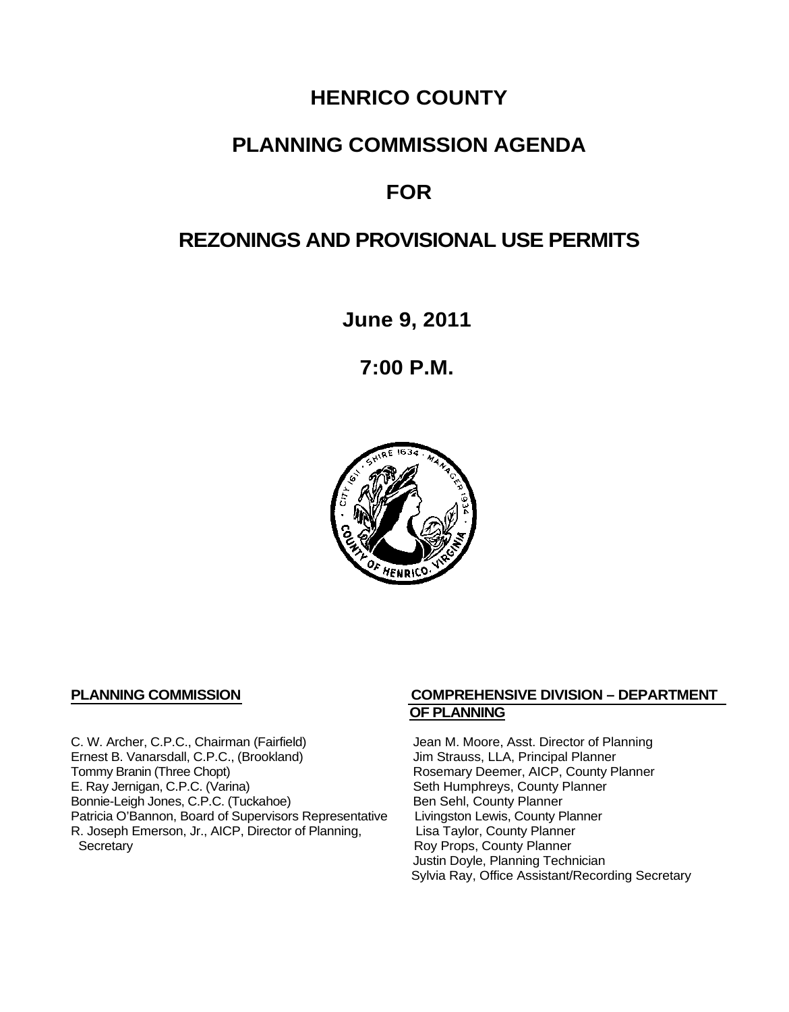# **HENRICO COUNTY**

## **PLANNING COMMISSION AGENDA**

# **FOR**

# **REZONINGS AND PROVISIONAL USE PERMITS**

**June 9, 2011**

**7:00 P.M.**



C. W. Archer, C.P.C., Chairman (Fairfield) Jean M. Moore, Asst. Director of Planning<br>
Ernest B. Vanarsdall, C.P.C., (Brookland) Jim Strauss, LLA, Principal Planner Ernest B. Vanarsdall, C.P.C., (Brookland)<br>Tommy Branin (Three Chopt) Tommy Branin (Three Chopt) Rosemary Deemer, AICP, County Planner<br>E. Ray Jernigan, C.P.C. (Varina) Seth Humphreys, County Planner Bonnie-Leigh Jones, C.P.C. (Tuckahoe) Ben Sehl, County Planner<br>Patricia O'Bannon, Board of Supervisors Representative Livingston Lewis, County Planner Patricia O'Bannon, Board of Supervisors Representative Livingston Lewis, County Planner<br>R. Joseph Emerson, Jr., AICP, Director of Planning, Lisa Taylor, County Planner R. Joseph Emerson, Jr., AICP, Director of Planning, Secretary

### **PLANNING COMMISSION COMPREHENSIVE DIVISION – DEPARTMENT OF PLANNING**

Seth Humphreys, County Planner<br>Ben Sehl, County Planner Roy Props, County Planner Justin Doyle, Planning Technician Sylvia Ray, Office Assistant/Recording Secretary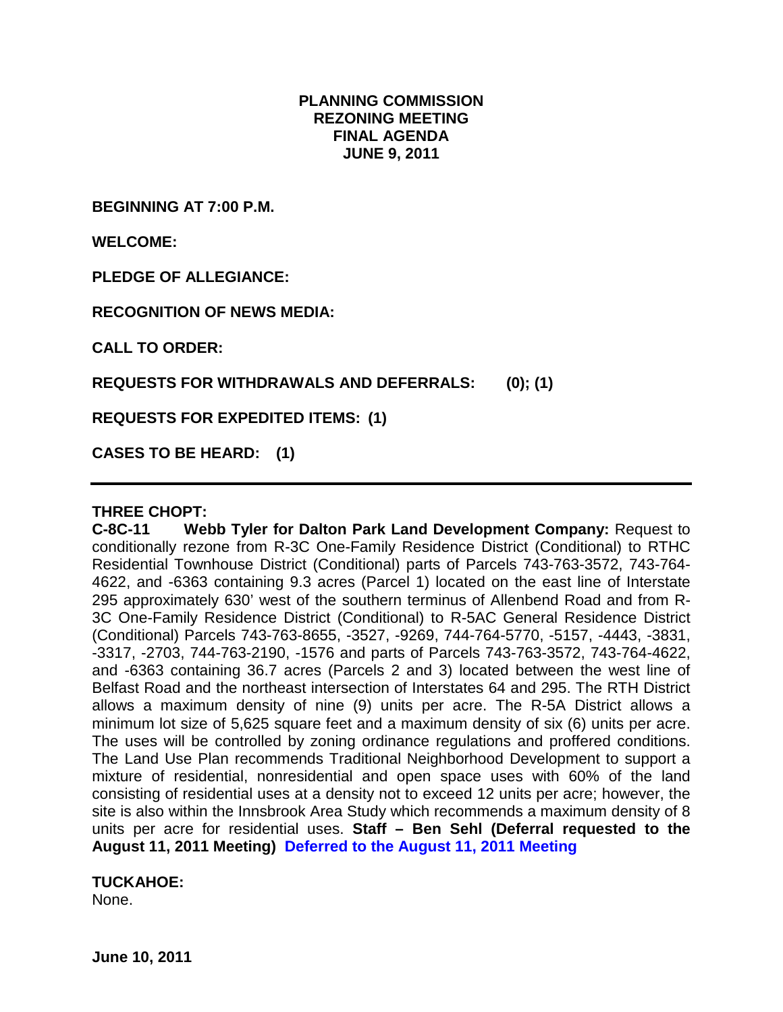## **PLANNING COMMISSION REZONING MEETING FINAL AGENDA JUNE 9, 2011**

**BEGINNING AT 7:00 P.M.**

**WELCOME:**

**PLEDGE OF ALLEGIANCE:**

**RECOGNITION OF NEWS MEDIA:**

**CALL TO ORDER:**

**REQUESTS FOR WITHDRAWALS AND DEFERRALS: (0); (1)**

**REQUESTS FOR EXPEDITED ITEMS: (1)**

**CASES TO BE HEARD: (1)**

#### **THREE CHOPT:**

**C-8C-11 Webb Tyler for Dalton Park Land Development Company:** Request to conditionally rezone from R-3C One-Family Residence District (Conditional) to RTHC Residential Townhouse District (Conditional) parts of Parcels 743-763-3572, 743-764- 4622, and -6363 containing 9.3 acres (Parcel 1) located on the east line of Interstate 295 approximately 630' west of the southern terminus of Allenbend Road and from R-3C One-Family Residence District (Conditional) to R-5AC General Residence District (Conditional) Parcels 743-763-8655, -3527, -9269, 744-764-5770, -5157, -4443, -3831, -3317, -2703, 744-763-2190, -1576 and parts of Parcels 743-763-3572, 743-764-4622, and -6363 containing 36.7 acres (Parcels 2 and 3) located between the west line of Belfast Road and the northeast intersection of Interstates 64 and 295. The RTH District allows a maximum density of nine (9) units per acre. The R-5A District allows a minimum lot size of 5,625 square feet and a maximum density of six (6) units per acre. The uses will be controlled by zoning ordinance regulations and proffered conditions. The Land Use Plan recommends Traditional Neighborhood Development to support a mixture of residential, nonresidential and open space uses with 60% of the land consisting of residential uses at a density not to exceed 12 units per acre; however, the site is also within the Innsbrook Area Study which recommends a maximum density of 8 units per acre for residential uses. **Staff – Ben Sehl (Deferral requested to the August 11, 2011 Meeting) Deferred to the August 11, 2011 Meeting**

### **TUCKAHOE:**

None.